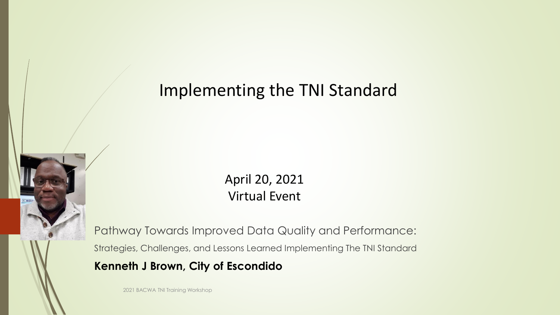April 20, 2021 Virtual Event

Pathway Towards Improved Data Quality and Performance:

Strategies, Challenges, and Lessons Learned Implementing The TNI Standard

#### **Kenneth J Brown, City of Escondido**

2021 BACWA TNI Training Workshop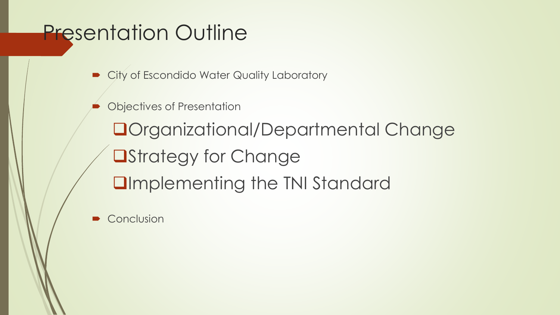## Presentation Outline

City of Escondido Water Quality Laboratory

Objectives of Presentation

❑Organizational/Departmental Change ❑Strategy for Change ❑Implementing the TNI Standard

**Conclusion**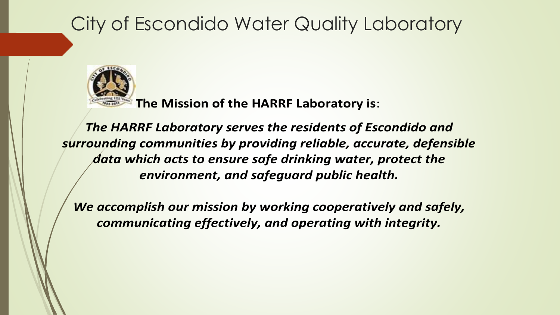### City of Escondido Water Quality Laboratory



**The Mission of the HARRF Laboratory is**:

*The HARRF Laboratory serves the residents of Escondido and surrounding communities by providing reliable, accurate, defensible data which acts to ensure safe drinking water, protect the environment, and safeguard public health.* 

*We accomplish our mission by working cooperatively and safely, communicating effectively, and operating with integrity.*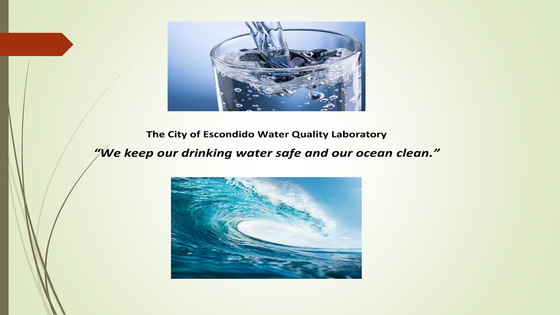

#### **The City of Escondido Water Quality Laboratory**

#### *"We keep our drinking water safe and our ocean clean."*

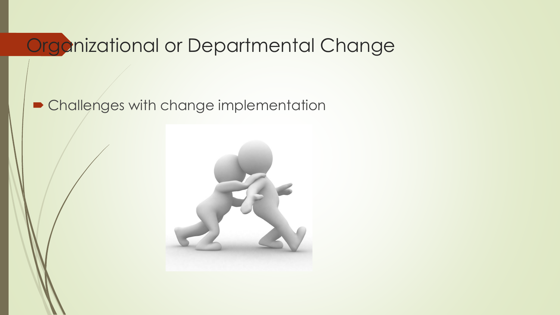### Organizational or Departmental Change

#### **• Challenges with change implementation**

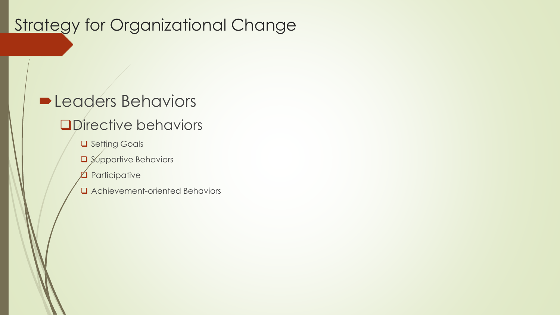#### Strategy for Organizational Change

#### **Leaders Behaviors**

#### ❑Directive behaviors

- ❑ Setting Goals
- ❑ Supportive Behaviors
- $\Delta$  Participative
- ❑ Achievement-oriented Behaviors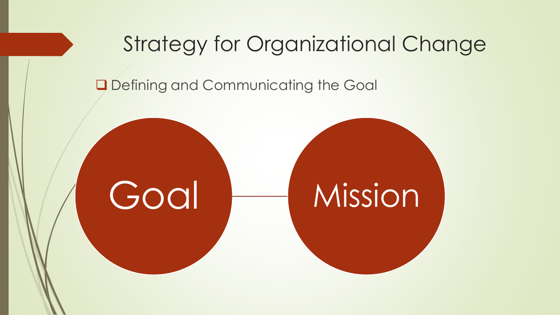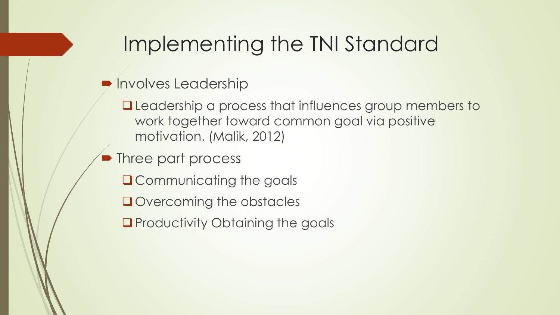**Involves Leadership** 

❑Leadership a process that influences group members to work together toward common goal via positive motivation. (Malik, 2012)

- Three part process
	- ■Communicating the goals
	- ❑Overcoming the obstacles
	- ■Productivity Obtaining the goals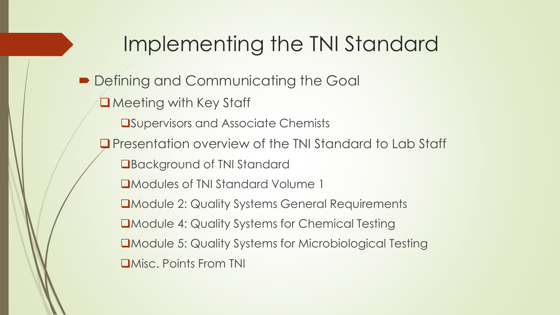■ Defining and Communicating the Goal ❑Meeting with Key Staff ❑Supervisors and Associate Chemists ❑Presentation overview of the TNI Standard to Lab Staff ■Background of TNI Standard ❑Modules of TNI Standard Volume 1 ❑Module 2: Quality Systems General Requirements ❑Module 4: Quality Systems for Chemical Testing ❑Module 5: Quality Systems for Microbiological Testing ❑Misc. Points From TNI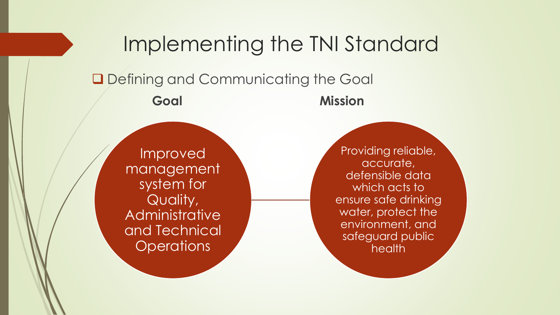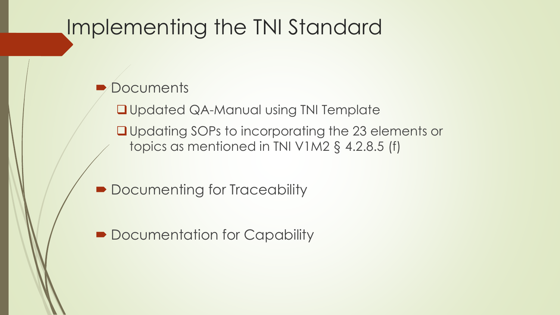#### **Documents**

❑Updated QA-Manual using TNI Template

❑Updating SOPs to incorporating the 23 elements or topics as mentioned in TNI V1M2 § 4.2.8.5 (f)

- Documenting for Traceability
- Documentation for Capability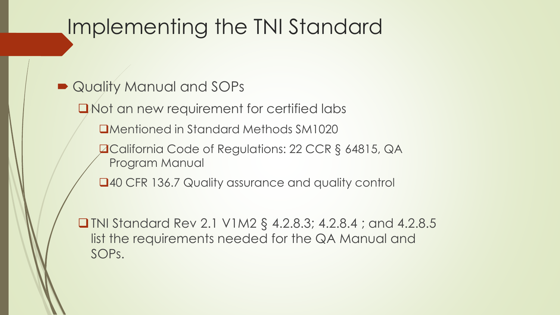- Quality Manual and SOPs
	- ❑Not an new requirement for certified labs
		- ❑Mentioned in Standard Methods SM1020
		- ❑California Code of Regulations: 22 CCR § 64815, QA Program Manual
		- ■40 CFR 136.7 Quality assurance and quality control
	- ❑TNI Standard Rev 2.1 V1M2 § 4.2.8.3; 4.2.8.4 ; and 4.2.8.5 list the requirements needed for the QA Manual and SOPs.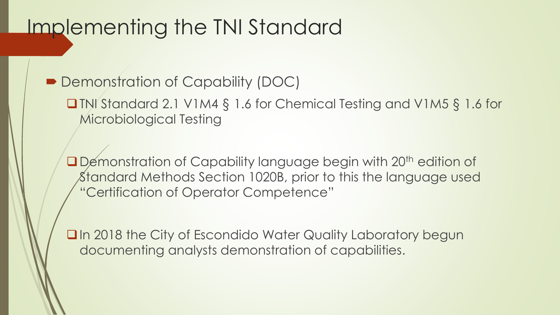■ Demonstration of Capability (DOC)

❑TNI Standard 2.1 V1M4 § 1.6 for Chemical Testing and V1M5 § 1.6 for Microbiological Testing

□Demonstration of Capability language begin with 20<sup>th</sup> edition of Standard Methods Section 1020B, prior to this the language used "Certification of Operator Competence"

■In 2018 the City of Escondido Water Quality Laboratory begun documenting analysts demonstration of capabilities.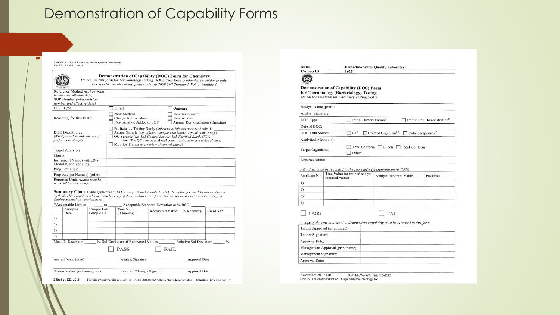#### **Demonstration of Capability Forms**

Lab Name: City of Escondido Water Ouality Laboratory CA ELAP Lab ID: 1625



#### Demonstration of Capability (DOC) Form for Chemistry

Do not use this form for Microbiology Testing DOCs. This form is intended as guidance only. For specific requirements, please refer to 2009 TNI Standard, Vol. 1, Module 4

| Reference Method (with revision<br>number and effective date)             |                                                                                                                                                                                     |                                                                                                                                              |
|---------------------------------------------------------------------------|-------------------------------------------------------------------------------------------------------------------------------------------------------------------------------------|----------------------------------------------------------------------------------------------------------------------------------------------|
| SOP Number (with revision<br>number and effective date)                   |                                                                                                                                                                                     |                                                                                                                                              |
| DOC Type                                                                  | Initial                                                                                                                                                                             | Ongoing                                                                                                                                      |
| Reason(s) for this DOC                                                    | New Method<br>Change to Procedure<br>New Analyte Added to SOP                                                                                                                       | New Instrument<br>New Analyst<br>Annual Demonstration (Ongoing)                                                                              |
| DOC Data Source<br>(What procedure did you use to<br>perform this study?) | Proficiency Testing Study (unknown to lab and analyst) Study ID:<br>QC Sample (e.g. Lab Control Sample, Lab Fortified Blank, CCV)<br>Monitor Trends (e.g. review of control charts) | Actual Sample (e.g. effluent; sample with known, typical conc. range)<br>Note: The QC may be analyzed concurrently or over a series of days. |
| Target Analyte(s)                                                         |                                                                                                                                                                                     |                                                                                                                                              |
| Matrix                                                                    |                                                                                                                                                                                     |                                                                                                                                              |
| Instrument Name (with ID #,<br>Model #, and Serial #)                     |                                                                                                                                                                                     |                                                                                                                                              |
| Prep Technique                                                            |                                                                                                                                                                                     |                                                                                                                                              |
| Prep Analyst Name(s) (print)                                              |                                                                                                                                                                                     |                                                                                                                                              |
| Reported Units (values must be<br>recorded in same units)                 |                                                                                                                                                                                     |                                                                                                                                              |

Summary Chart (Only applicable to DOCs using 'Actual Samples' or 'QC Samples' for the data source. For all methods which requires a blank, attach a copy of the raw data to this form. Recoveries must meet the criteria in your Quality Manual, as detailed here.) \*Accentable Limits: Accentable Standard Deviation or % RSD:  $\overline{a}$ 

| $\ldots$         | $\sim$                                  |                               |                 |                                                                                                |                                                                                                                                                                                                                                                                                                |
|------------------|-----------------------------------------|-------------------------------|-----------------|------------------------------------------------------------------------------------------------|------------------------------------------------------------------------------------------------------------------------------------------------------------------------------------------------------------------------------------------------------------------------------------------------|
| Analysis<br>Date | Unique Lab<br>Sample ID                 | True Value<br>(if known)      | Recovered Value | % Recovery                                                                                     | Pass/Fail*                                                                                                                                                                                                                                                                                     |
|                  |                                         |                               |                 |                                                                                                |                                                                                                                                                                                                                                                                                                |
|                  |                                         |                               |                 |                                                                                                |                                                                                                                                                                                                                                                                                                |
|                  |                                         |                               |                 |                                                                                                |                                                                                                                                                                                                                                                                                                |
|                  |                                         |                               |                 |                                                                                                |                                                                                                                                                                                                                                                                                                |
|                  |                                         |                               |                 |                                                                                                | $\frac{0}{2}$                                                                                                                                                                                                                                                                                  |
|                  |                                         | <b>PASS</b>                   | <b>FAIL</b>     |                                                                                                |                                                                                                                                                                                                                                                                                                |
|                  |                                         |                               |                 | Approval Date                                                                                  |                                                                                                                                                                                                                                                                                                |
|                  |                                         |                               |                 | Approval Date                                                                                  |                                                                                                                                                                                                                                                                                                |
|                  | Mean % Recovery<br>Analyst Name (print) | Reviewer/Manager Name (print) |                 | %, Std Deviation of Recovered Values<br><b>Analyst Signature</b><br>Reviewer/Manager Signature | $P_{\rm C}$ and $P_{\rm C}$ is a set of $P_{\rm C}$ and $P_{\rm C}$ is a set of $P_{\rm C}$ is a set of $P_{\rm C}$ is a set of $P_{\rm C}$ is a set of $P_{\rm C}$ is a set of $P_{\rm C}$ is a set of $P_{\rm C}$ is a set of $P_{\rm C}$ is a set of $P_{\rm C$<br>, Relative Std Deviation |

Edited by KB, 2018 S:\PublicWorks\Utilities\HARRF LAB\FORMS\IDOCELAPformdocchem.doc Effective Date:04/02/2018

**Escondido Water Quality Laboratory** CA Lab ID: 1625



 $\Box$  PASS

Name:

Demonstration of Capability (DOC) Form for Microbiology (Bacteriology) Testing Do not use this form for Chemistry Testing DOCs

| Analyst Name (print):                                                  |                                                                                        |  |
|------------------------------------------------------------------------|----------------------------------------------------------------------------------------|--|
| Analyst Signature:                                                     |                                                                                        |  |
| DOC Type:                                                              | Initial Demonstration <sup>1</sup><br>Continuing Demonstration <sup>C</sup>            |  |
| Date of DOC:                                                           |                                                                                        |  |
| DOC Data Source:                                                       | $\Box$ PT <sup>C</sup><br>Control Organism <sup>1,C</sup> Data Comparison <sup>C</sup> |  |
| Analytical Method(s):                                                  |                                                                                        |  |
| Total Coliform E. coli Fecal Coliform<br>Target Organisms:<br>  Other: |                                                                                        |  |
| Reported Units:                                                        |                                                                                        |  |

All values must be recorded in the same units (present/absent or CFU).

| Replicate No. | True Value (or trained analyst<br>reported value) | Analyst Reported Value | Pass/Fail |
|---------------|---------------------------------------------------|------------------------|-----------|
|               |                                                   |                        |           |
| 2             |                                                   |                        |           |
|               |                                                   |                        |           |
| 4             |                                                   |                        |           |

 $\Box$  FAIL

A come of the raw data used to demonstrate canability must be attached to this form

| Trainer Approval (print name):    |  |
|-----------------------------------|--|
| Trainer Signature:                |  |
| Approval Date:                    |  |
| Management Approval (print name): |  |
| Management Signature:             |  |
| Approval Date:                    |  |

November 2017 NB S:\PublicWorks\Utilities\HARRF LAB\FORMS\DemonstrationOfCapabilityMicrobiology.doc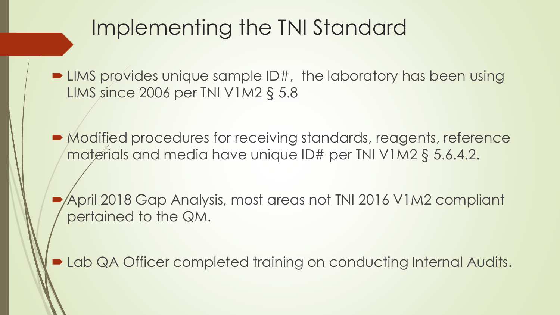■ LIMS provides unique sample ID#, the laboratory has been using LIMS since 2006 per TNI V1M2 § 5.8

■ Modified procedures for receiving standards, reagents, reference materials and media have unique ID# per TNI V1M2 § 5.6.4.2.

 April 2018 Gap Analysis, most areas not TNI 2016 V1M2 compliant pertained to the QM.

**Lab QA Officer completed training on conducting Internal Audits.**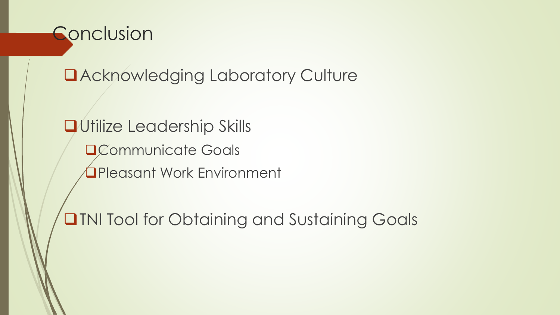

❑Acknowledging Laboratory Culture

❑Utilize Leadership Skills ❑Communicate Goals ❑Pleasant Work Environment

❑TNI Tool for Obtaining and Sustaining Goals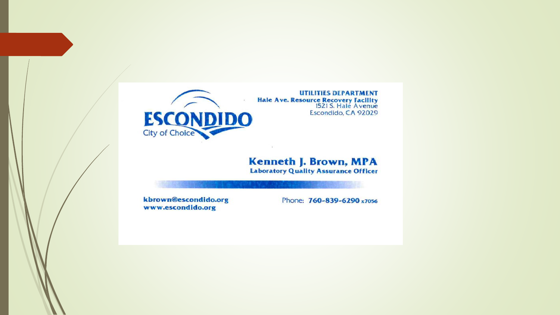

#### **Kenneth J. Brown, MPA Laboratory Quality Assurance Officer**

kbrown@escondido.org www.escondido.org

Phone: 760-839-6290 x7056